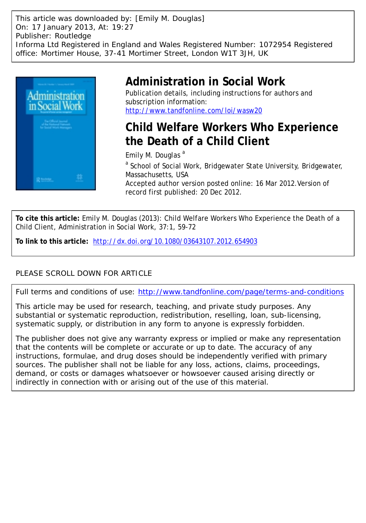This article was downloaded by: [Emily M. Douglas] On: 17 January 2013, At: 19:27 Publisher: Routledge Informa Ltd Registered in England and Wales Registered Number: 1072954 Registered office: Mortimer House, 37-41 Mortimer Street, London W1T 3JH, UK



# **Administration in Social Work**

Publication details, including instructions for authors and subscription information: <http://www.tandfonline.com/loi/wasw20>

# **Child Welfare Workers Who Experience the Death of a Child Client**

Emily M. Douglas<sup>a</sup>

<sup>a</sup> School of Social Work, Bridgewater State University, Bridgewater, Massachusetts, USA Accepted author version posted online: 16 Mar 2012.Version of record first published: 20 Dec 2012.

**To cite this article:** Emily M. Douglas (2013): Child Welfare Workers Who Experience the Death of a Child Client, Administration in Social Work, 37:1, 59-72

**To link to this article:** <http://dx.doi.org/10.1080/03643107.2012.654903>

### PLEASE SCROLL DOWN FOR ARTICLE

Full terms and conditions of use:<http://www.tandfonline.com/page/terms-and-conditions>

This article may be used for research, teaching, and private study purposes. Any substantial or systematic reproduction, redistribution, reselling, loan, sub-licensing, systematic supply, or distribution in any form to anyone is expressly forbidden.

The publisher does not give any warranty express or implied or make any representation that the contents will be complete or accurate or up to date. The accuracy of any instructions, formulae, and drug doses should be independently verified with primary sources. The publisher shall not be liable for any loss, actions, claims, proceedings, demand, or costs or damages whatsoever or howsoever caused arising directly or indirectly in connection with or arising out of the use of this material.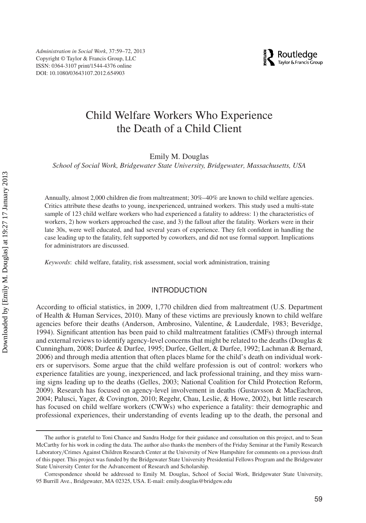*Administration in Social Work*, 37:59–72, 2013 Copyright © Taylor & Francis Group, LLC ISSN: 0364-3107 print/1544-4376 online DOI: 10.1080/03643107.2012.654903



### Child Welfare Workers Who Experience the Death of a Child Client

Emily M. Douglas

*School of Social Work, Bridgewater State University, Bridgewater, Massachusetts, USA*

Annually, almost 2,000 children die from maltreatment; 30%–40% are known to child welfare agencies. Critics attribute these deaths to young, inexperienced, untrained workers. This study used a multi-state sample of 123 child welfare workers who had experienced a fatality to address: 1) the characteristics of workers, 2) how workers approached the case, and 3) the fallout after the fatality. Workers were in their late 30s, were well educated, and had several years of experience. They felt confident in handling the case leading up to the fatality, felt supported by coworkers, and did not use formal support. Implications for administrators are discussed.

*Keywords*: child welfare, fatality, risk assessment, social work administration, training

#### INTRODUCTION

According to official statistics, in 2009, 1,770 children died from maltreatment (U.S. Department of Health & Human Services, 2010). Many of these victims are previously known to child welfare agencies before their deaths (Anderson, Ambrosino, Valentine, & Lauderdale, 1983; Beveridge, 1994). Significant attention has been paid to child maltreatment fatalities (CMFs) through internal and external reviews to identify agency-level concerns that might be related to the deaths (Douglas & Cunningham, 2008; Durfee & Durfee, 1995; Durfee, Gellert, & Durfee, 1992; Lachman & Bernard, 2006) and through media attention that often places blame for the child's death on individual workers or supervisors. Some argue that the child welfare profession is out of control: workers who experience fatalities are young, inexperienced, and lack professional training, and they miss warning signs leading up to the deaths (Gelles, 2003; National Coalition for Child Protection Reform, 2009). Research has focused on agency-level involvement in deaths (Gustavsson & MacEachron, 2004; Palusci, Yager, & Covington, 2010; Regehr, Chau, Leslie, & Howe, 2002), but little research has focused on child welfare workers (CWWs) who experience a fatality: their demographic and professional experiences, their understanding of events leading up to the death, the personal and

The author is grateful to Toni Chance and Sandra Hodge for their guidance and consultation on this project, and to Sean McCarthy for his work in coding the data. The author also thanks the members of the Friday Seminar at the Family Research Laboratory/Crimes Against Children Research Center at the University of New Hampshire for comments on a previous draft of this paper. This project was funded by the Bridgewater State University Presidential Fellows Program and the Bridgewater State University Center for the Advancement of Research and Scholarship.

Correspondence should be addressed to Emily M. Douglas, School of Social Work, Bridgewater State University, 95 Burrill Ave., Bridgewater, MA 02325, USA. E-mail: emily.douglas@bridgew.edu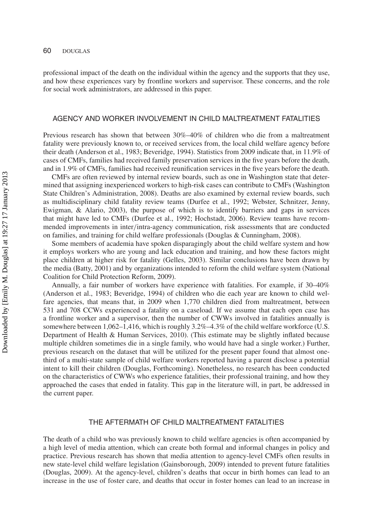professional impact of the death on the individual within the agency and the supports that they use, and how these experiences vary by frontline workers and supervisor. These concerns, and the role for social work administrators, are addressed in this paper.

#### AGENCY AND WORKER INVOLVEMENT IN CHILD MALTREATMENT FATALITIES

Previous research has shown that between 30%–40% of children who die from a maltreatment fatality were previously known to, or received services from, the local child welfare agency before their death (Anderson et al., 1983; Beveridge, 1994). Statistics from 2009 indicate that, in 11.9% of cases of CMFs, families had received family preservation services in the five years before the death, and in 1.9% of CMFs, families had received reunification services in the five years before the death.

CMFs are often reviewed by internal review boards, such as one in Washington state that determined that assigning inexperienced workers to high-risk cases can contribute to CMFs (Washington State Children's Administration, 2008). Deaths are also examined by external review boards, such as multidisciplinary child fatality review teams (Durfee et al., 1992; Webster, Schnitzer, Jenny, Ewigman, & Alario, 2003), the purpose of which is to identify barriers and gaps in services that might have led to CMFs (Durfee et al., 1992; Hochstadt, 2006). Review teams have recommended improvements in inter/intra-agency communication, risk assessments that are conducted on families, and training for child welfare professionals (Douglas & Cunningham, 2008).

Some members of academia have spoken disparagingly about the child welfare system and how it employs workers who are young and lack education and training, and how these factors might place children at higher risk for fatality (Gelles, 2003). Similar conclusions have been drawn by the media (Batty, 2001) and by organizations intended to reform the child welfare system (National Coalition for Child Protection Reform, 2009).

Annually, a fair number of workers have experience with fatalities. For example, if 30–40% (Anderson et al., 1983; Beveridge, 1994) of children who die each year are known to child welfare agencies, that means that, in 2009 when 1,770 children died from maltreatment, between 531 and 708 CCWs experienced a fatality on a caseload. If we assume that each open case has a frontline worker and a supervisor, then the number of CWWs involved in fatalities annually is somewhere between 1,062–1,416, which is roughly 3.2%–4.3% of the child welfare workforce (U.S. Department of Health & Human Services, 2010). (This estimate may be slightly inflated because multiple children sometimes die in a single family, who would have had a single worker.) Further, previous research on the dataset that will be utilized for the present paper found that almost onethird of a multi-state sample of child welfare workers reported having a parent disclose a potential intent to kill their children (Douglas, Forthcoming). Nonetheless, no research has been conducted on the characteristics of CWWs who experience fatalities, their professional training, and how they approached the cases that ended in fatality. This gap in the literature will, in part, be addressed in the current paper.

#### THE AFTERMATH OF CHILD MALTREATMENT FATALITIES

The death of a child who was previously known to child welfare agencies is often accompanied by a high level of media attention, which can create both formal and informal changes in policy and practice. Previous research has shown that media attention to agency-level CMFs often results in new state-level child welfare legislation (Gainsborough, 2009) intended to prevent future fatalities (Douglas, 2009). At the agency-level, children's deaths that occur in birth homes can lead to an increase in the use of foster care, and deaths that occur in foster homes can lead to an increase in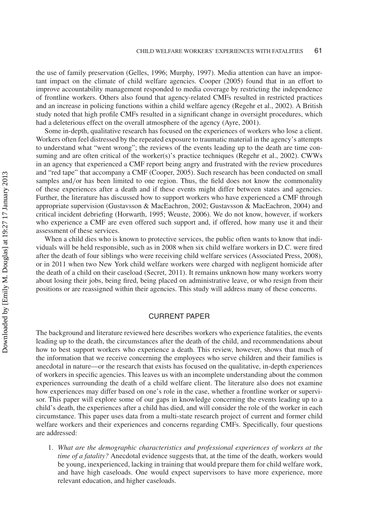the use of family preservation (Gelles, 1996; Murphy, 1997). Media attention can have an important impact on the climate of child welfare agencies. Cooper (2005) found that in an effort to improve accountability management responded to media coverage by restricting the independence of frontline workers. Others also found that agency-related CMFs resulted in restricted practices and an increase in policing functions within a child welfare agency (Regehr et al., 2002). A British study noted that high profile CMFs resulted in a significant change in oversight procedures, which had a deleterious effect on the overall atmosphere of the agency (Ayre, 2001).

Some in-depth, qualitative research has focused on the experiences of workers who lose a client. Workers often feel distressed by the repeated exposure to traumatic material in the agency's attempts to understand what "went wrong"; the reviews of the events leading up to the death are time consuming and are often critical of the worker(s)'s practice techniques (Regehr et al., 2002). CWWs in an agency that experienced a CMF report being angry and frustrated with the review procedures and "red tape" that accompany a CMF (Cooper, 2005). Such research has been conducted on small samples and/or has been limited to one region. Thus, the field does not know the commonality of these experiences after a death and if these events might differ between states and agencies. Further, the literature has discussed how to support workers who have experienced a CMF through appropriate supervision (Gustavsson & MacEachron, 2002; Gustavsson & MacEachron, 2004) and critical incident debriefing (Horwarth, 1995; Weuste, 2006). We do not know, however, if workers who experience a CMF are even offered such support and, if offered, how many use it and their assessment of these services.

When a child dies who is known to protective services, the public often wants to know that individuals will be held responsible, such as in 2008 when six child welfare workers in D.C. were fired after the death of four siblings who were receiving child welfare services (Associated Press, 2008), or in 2011 when two New York child welfare workers were charged with negligent homicide after the death of a child on their caseload (Secret, 2011). It remains unknown how many workers worry about losing their jobs, being fired, being placed on administrative leave, or who resign from their positions or are reassigned within their agencies. This study will address many of these concerns.

#### CURRENT PAPER

The background and literature reviewed here describes workers who experience fatalities, the events leading up to the death, the circumstances after the death of the child, and recommendations about how to best support workers who experience a death. This review, however, shows that much of the information that we receive concerning the employees who serve children and their families is anecdotal in nature—or the research that exists has focused on the qualitative, in-depth experiences of workers in specific agencies. This leaves us with an incomplete understanding about the common experiences surrounding the death of a child welfare client. The literature also does not examine how experiences may differ based on one's role in the case, whether a frontline worker or supervisor. This paper will explore some of our gaps in knowledge concerning the events leading up to a child's death, the experiences after a child has died, and will consider the role of the worker in each circumstance. This paper uses data from a multi-state research project of current and former child welfare workers and their experiences and concerns regarding CMFs. Specifically, four questions are addressed:

1. *What are the demographic characteristics and professional experiences of workers at the time of a fatality?* Anecdotal evidence suggests that, at the time of the death, workers would be young, inexperienced, lacking in training that would prepare them for child welfare work, and have high caseloads. One would expect supervisors to have more experience, more relevant education, and higher caseloads.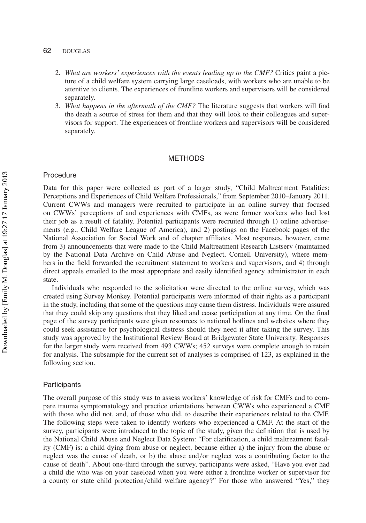#### 62 DOUGLAS

- 2. *What are workers' experiences with the events leading up to the CMF?* Critics paint a picture of a child welfare system carrying large caseloads, with workers who are unable to be attentive to clients. The experiences of frontline workers and supervisors will be considered separately.
- 3. *What happens in the aftermath of the CMF?* The literature suggests that workers will find the death a source of stress for them and that they will look to their colleagues and supervisors for support. The experiences of frontline workers and supervisors will be considered separately.

#### METHODS

#### Procedure

Data for this paper were collected as part of a larger study, "Child Maltreatment Fatalities: Perceptions and Experiences of Child Welfare Professionals," from September 2010–January 2011. Current CWWs and managers were recruited to participate in an online survey that focused on CWWs' perceptions of and experiences with CMFs, as were former workers who had lost their job as a result of fatality. Potential participants were recruited through 1) online advertisements (e.g., Child Welfare League of America), and 2) postings on the Facebook pages of the National Association for Social Work and of chapter affiliates. Most responses, however, came from 3) announcements that were made to the Child Maltreatment Research Listserv (maintained by the National Data Archive on Child Abuse and Neglect, Cornell University), where members in the field forwarded the recruitment statement to workers and supervisors, and 4) through direct appeals emailed to the most appropriate and easily identified agency administrator in each state.

Individuals who responded to the solicitation were directed to the online survey, which was created using Survey Monkey. Potential participants were informed of their rights as a participant in the study, including that some of the questions may cause them distress. Individuals were assured that they could skip any questions that they liked and cease participation at any time. On the final page of the survey participants were given resources to national hotlines and websites where they could seek assistance for psychological distress should they need it after taking the survey. This study was approved by the Institutional Review Board at Bridgewater State University. Responses for the larger study were received from 493 CWWs; 452 surveys were complete enough to retain for analysis. The subsample for the current set of analyses is comprised of 123, as explained in the following section.

#### **Participants**

The overall purpose of this study was to assess workers' knowledge of risk for CMFs and to compare trauma symptomatology and practice orientations between CWWs who experienced a CMF with those who did not, and, of those who did, to describe their experiences related to the CMF. The following steps were taken to identify workers who experienced a CMF. At the start of the survey, participants were introduced to the topic of the study, given the definition that is used by the National Child Abuse and Neglect Data System: "For clarification, a child maltreatment fatality (CMF) is: a child dying from abuse or neglect, because either a) the injury from the abuse or neglect was the cause of death, or b) the abuse and/or neglect was a contributing factor to the cause of death". About one-third through the survey, participants were asked, "Have you ever had a child die who was on your caseload when you were either a frontline worker or supervisor for a county or state child protection/child welfare agency?" For those who answered "Yes," they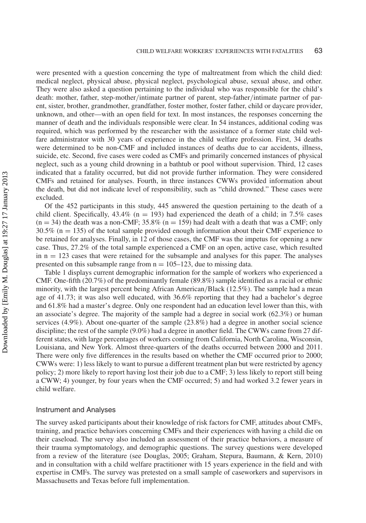were presented with a question concerning the type of maltreatment from which the child died: medical neglect, physical abuse, physical neglect, psychological abuse, sexual abuse, and other. They were also asked a question pertaining to the individual who was responsible for the child's death: mother, father, step-mother/intimate partner of parent, step-father/intimate partner of parent, sister, brother, grandmother, grandfather, foster mother, foster father, child or daycare provider, unknown, and other—with an open field for text. In most instances, the responses concerning the manner of death and the individuals responsible were clear. In 54 instances, additional coding was required, which was performed by the researcher with the assistance of a former state child welfare administrator with 30 years of experience in the child welfare profession. First, 34 deaths were determined to be non-CMF and included instances of deaths due to car accidents, illness, suicide, etc. Second, five cases were coded as CMFs and primarily concerned instances of physical neglect, such as a young child drowning in a bathtub or pool without supervision. Third, 12 cases indicated that a fatality occurred, but did not provide further information. They were considered CMFs and retained for analyses. Fourth, in three instances CWWs provided information about the death, but did not indicate level of responsibility, such as "child drowned." These cases were excluded.

Of the 452 participants in this study, 445 answered the question pertaining to the death of a child client. Specifically,  $43.4\%$  (n = 193) had experienced the death of a child; in 7.5% cases  $(n = 34)$  the death was a non-CMF; 35.8%  $(n = 159)$  had dealt with a death that was a CMF; only 30.5% (n = 135) of the total sample provided enough information about their CMF experience to be retained for analyses. Finally, in 12 of those cases, the CMF was the impetus for opening a new case. Thus, 27.2% of the total sample experienced a CMF on an open, active case, which resulted  $\sin n = 123$  cases that were retained for the subsample and analyses for this paper. The analyses presented on this subsample range from  $n = 105-123$ , due to missing data.

Table 1 displays current demographic information for the sample of workers who experienced a CMF. One-fifth (20.7%) of the predominantly female (89.8%) sample identified as a racial or ethnic minority, with the largest percent being African American/Black (12.5%). The sample had a mean age of 41.73; it was also well educated, with 36.6% reporting that they had a bachelor's degree and 61.8% had a master's degree. Only one respondent had an education level lower than this, with an associate's degree. The majority of the sample had a degree in social work (62.3%) or human services (4.9%). About one-quarter of the sample (23.8%) had a degree in another social science discipline; the rest of the sample (9.0%) had a degree in another field. The CWWs came from 27 different states, with large percentages of workers coming from California, North Carolina, Wisconsin, Louisiana, and New York. Almost three-quarters of the deaths occurred between 2000 and 2011. There were only five differences in the results based on whether the CMF occurred prior to 2000; CWWs were: 1) less likely to want to pursue a different treatment plan but were restricted by agency policy; 2) more likely to report having lost their job due to a CMF; 3) less likely to report still being a CWW; 4) younger, by four years when the CMF occurred; 5) and had worked 3.2 fewer years in child welfare.

#### Instrument and Analyses

The survey asked participants about their knowledge of risk factors for CMF, attitudes about CMFs, training, and practice behaviors concerning CMFs and their experiences with having a child die on their caseload. The survey also included an assessment of their practice behaviors, a measure of their trauma symptomatology, and demographic questions. The survey questions were developed from a review of the literature (see Douglas, 2005; Graham, Stepura, Baumann, & Kern, 2010) and in consultation with a child welfare practitioner with 15 years experience in the field and with expertise in CMFs. The survey was pretested on a small sample of caseworkers and supervisors in Massachusetts and Texas before full implementation.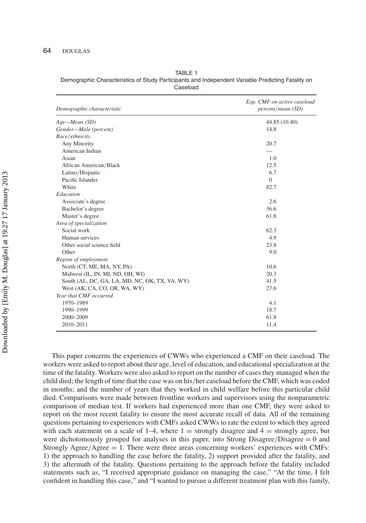TABLE 1 Demographic Characteristics of Study Participants and Independent Variable Predicting Fatality on Caseload

| Demographic characteristic                     | Exp. CMF on active caseload<br>percent/mean (SD) |
|------------------------------------------------|--------------------------------------------------|
| Age—Mean(SD)                                   | 44.85 (10.40)                                    |
| Gender-Male (percent)                          | 14.8                                             |
| Race/ethnicity                                 |                                                  |
| Any Minority                                   | 20.7                                             |
| American Indian                                |                                                  |
| Asian                                          | 1.0                                              |
| African American/Black                         | 12.5                                             |
| Latino/Hispanic                                | 6.7                                              |
| Pacific Islander                               | $\Omega$                                         |
| White                                          | 82.7                                             |
| Education                                      |                                                  |
| Associate's degree                             | 2.6                                              |
| Bachelor's degree                              | 36.6                                             |
| Master's degree                                | 61.8                                             |
| Area of specialization                         |                                                  |
| Social work                                    | 62.3                                             |
| Human services                                 | 4.9                                              |
| Other social science field                     | 23.8                                             |
| Other                                          | 9.0                                              |
| Region of employment                           |                                                  |
| North (CT, ME, MA, NY, PA)                     | 10.6                                             |
| Midwest (IL, IN, MI, ND, OH, WI)               | 20.3                                             |
| South (AL, DC, GA, LA, MD, NC, OK, TX, VA, WV) | 41.5                                             |
| West (AK, CA, CO, OR, WA, WY)                  | 27.6                                             |
| Year that CMF occurred                         |                                                  |
| 1970-1989                                      | 4.1                                              |
| 1990-1999                                      | 18.7                                             |
| 2000-2009                                      | 61.8                                             |
| 2010-2011                                      | 11.4                                             |

This paper concerns the experiences of CWWs who experienced a CMF on their caseload. The workers were asked to report about their age, level of education, and educational specialization at the time of the fatality. Workers were also asked to report on the number of cases they managed when the child died; the length of time that the case was on his/her caseload before the CMF, which was coded in months; and the number of years that they worked in child welfare before this particular child died. Comparisons were made between frontline workers and supervisors using the nonparametric comparison of median test. If workers had experienced more than one CMF, they were asked to report on the most recent fatality to ensure the most accurate recall of data. All of the remaining questions pertaining to experiences with CMFs asked CWWs to rate the extent to which they agreed with each statement on a scale of 1–4, where  $1 =$  strongly disagree and  $4 =$  strongly agree, but were dichotomously grouped for analyses in this paper, into Strong Disagree/Disagree  $= 0$  and Strongly Agree/Agree  $= 1$ . There were three areas concerning workers' experiences with CMFs: 1) the approach to handling the case before the fatality, 2) support provided after the fatality, and 3) the aftermath of the fatality. Questions pertaining to the approach before the fatality included statements such as, "I received appropriate guidance on managing the case," "At the time, I felt confident in handling this case," and "I wanted to pursue a different treatment plan with this family,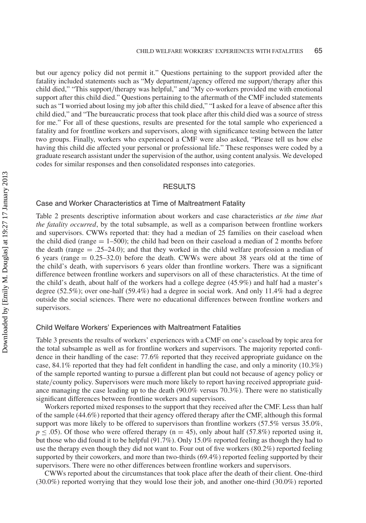but our agency policy did not permit it." Questions pertaining to the support provided after the fatality included statements such as "My department/agency offered me support/therapy after this child died," "This support/therapy was helpful," and "My co-workers provided me with emotional support after this child died." Questions pertaining to the aftermath of the CMF included statements such as "I worried about losing my job after this child died," "I asked for a leave of absence after this child died," and "The bureaucratic process that took place after this child died was a source of stress for me." For all of these questions, results are presented for the total sample who experienced a fatality and for frontline workers and supervisors, along with significance testing between the latter two groups. Finally, workers who experienced a CMF were also asked, "Please tell us how else having this child die affected your personal or professional life." These responses were coded by a graduate research assistant under the supervision of the author, using content analysis. We developed codes for similar responses and then consolidated responses into categories.

#### **RESULTS**

#### Case and Worker Characteristics at Time of Maltreatment Fatality

Table 2 presents descriptive information about workers and case characteristics *at the time that the fatality occurred*, by the total subsample, as well as a comparison between frontline workers and supervisors. CWWs reported that: they had a median of 25 families on their caseload when the child died (range  $= 1-500$ ); the child had been on their caseload a median of 2 months before the death (range  $= .25-24.0$ ); and that they worked in the child welfare profession a median of 6 years (range = 0.25–32.0) before the death. CWWs were about 38 years old at the time of the child's death, with supervisors 6 years older than frontline workers. There was a significant difference between frontline workers and supervisors on all of these characteristics. At the time of the child's death, about half of the workers had a college degree (45.9%) and half had a master's degree (52.5%); over one-half (59.4%) had a degree in social work. And only 11.4% had a degree outside the social sciences. There were no educational differences between frontline workers and supervisors.

#### Child Welfare Workers' Experiences with Maltreatment Fatalities

Table 3 presents the results of workers' experiences with a CMF on one's caseload by topic area for the total subsample as well as for frontline workers and supervisors. The majority reported confidence in their handling of the case: 77.6% reported that they received appropriate guidance on the case, 84.1% reported that they had felt confident in handling the case, and only a minority (10.3%) of the sample reported wanting to pursue a different plan but could not because of agency policy or state/county policy. Supervisors were much more likely to report having received appropriate guidance managing the case leading up to the death (90.0% versus 70.3%). There were no statistically significant differences between frontline workers and supervisors.

Workers reported mixed responses to the support that they received after the CMF. Less than half of the sample (44.6%) reported that their agency offered therapy after the CMF, although this formal support was more likely to be offered to supervisors than frontline workers (57.5% versus 35.0%,  $p \leq 0.05$ . Of those who were offered therapy (n = 45), only about half (57.8%) reported using it, but those who did found it to be helpful (91.7%). Only 15.0% reported feeling as though they had to use the therapy even though they did not want to. Four out of five workers (80.2%) reported feeling supported by their coworkers, and more than two-thirds (69.4%) reported feeling supported by their supervisors. There were no other differences between frontline workers and supervisors.

CWWs reported about the circumstances that took place after the death of their client. One-third (30.0%) reported worrying that they would lose their job, and another one-third (30.0%) reported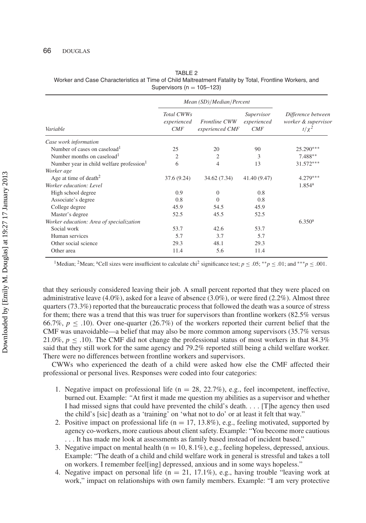|                                                      |                                  | Mean (SD)/Median/Percent                |                                  |                                                         |
|------------------------------------------------------|----------------------------------|-----------------------------------------|----------------------------------|---------------------------------------------------------|
| Variable                                             | Total CWWs<br>experienced<br>CMF | <i>Frontline CWW</i><br>experienced CMF | Supervisor<br>experienced<br>CMF | Difference between<br>worker & supervisor<br>$t/\chi^2$ |
| Case work information                                |                                  |                                         |                                  |                                                         |
| Number of cases on caseload <sup>1</sup>             | 25                               | 20                                      | 90                               | $25.290***$                                             |
| Number months on caseload <sup>1</sup>               | 2                                | $\overline{2}$                          | 3                                | $7.488**$                                               |
| Number year in child welfare profession <sup>1</sup> | 6                                | 4                                       | 13                               | $31.572***$                                             |
| Worker age                                           |                                  |                                         |                                  |                                                         |
| Age at time of death <sup>2</sup>                    | 37.6 (9.24)                      | 34.62 (7.34)                            | 41.40 (9.47)                     | $4.279***$                                              |
| Worker education: Level                              |                                  |                                         |                                  | $1.854^a$                                               |
| High school degree                                   | 0.9                              | $\theta$                                | 0.8                              |                                                         |
| Associate's degree                                   | 0.8                              | $\Omega$                                | 0.8                              |                                                         |
| College degree                                       | 45.9                             | 54.5                                    | 45.9                             |                                                         |
| Master's degree                                      | 52.5                             | 45.5                                    | 52.5                             |                                                         |
| Worker education: Area of specialization             |                                  |                                         |                                  | 6.350 <sup>a</sup>                                      |
| Social work                                          | 53.7                             | 42.6                                    | 53.7                             |                                                         |
| Human services                                       | 5.7                              | 3.7                                     | 5.7                              |                                                         |
| Other social science                                 | 29.3                             | 48.1                                    | 29.3                             |                                                         |
| Other area                                           | 11.4                             | 5.6                                     | 11.4                             |                                                         |

TABLE 2 Worker and Case Characteristics at Time of Child Maltreatment Fatality by Total, Frontline Workers, and Supervisors ( $n = 105-123$ )

<sup>1</sup>Median; <sup>2</sup>Mean; <sup>a</sup>Cell sizes were insufficient to calculate chi<sup>2</sup> significance test;  $p \le 0.05$ ; \*\* $p \le 0.01$ ; and \*\*\* $p \le 0.01$ .

that they seriously considered leaving their job. A small percent reported that they were placed on administrative leave (4.0%), asked for a leave of absence (3.0%), or were fired (2.2%). Almost three quarters (73.3%) reported that the bureaucratic process that followed the death was a source of stress for them; there was a trend that this was truer for supervisors than frontline workers (82.5% versus 66.7%,  $p \leq 0.10$ ). Over one-quarter (26.7%) of the workers reported their current belief that the CMF was unavoidable—a belief that may also be more common among supervisors (35.7% versus 21.0%,  $p \leq 0.10$ . The CMF did not change the professional status of most workers in that 84.3% said that they still work for the same agency and 79.2% reported still being a child welfare worker. There were no differences between frontline workers and supervisors.

CWWs who experienced the death of a child were asked how else the CMF affected their professional or personal lives. Responses were coded into four categories:

- 1. Negative impact on professional life ( $n = 28, 22.7\%$ ), e.g., feel incompetent, ineffective, burned out. Example: *"*At first it made me question my abilities as a supervisor and whether I had missed signs that could have prevented the child's death. ... [T]he agency then used the child's [sic] death as a 'training' on 'what not to do' or at least it felt that way."
- 2. Positive impact on professional life ( $n = 17, 13.8\%$ ), e.g., feeling motivated, supported by agency co-workers, more cautious about client safety. Example: "You become more cautious ... It has made me look at assessments as family based instead of incident based."
- 3. Negative impact on mental health ( $n = 10, 8.1\%$ ), e.g., feeling hopeless, depressed, anxious. Example: "The death of a child and child welfare work in general is stressful and takes a toll on workers. I remember feel[ing] depressed, anxious and in some ways hopeless."
- 4. Negative impact on personal life ( $n = 21, 17.1\%$ ), e.g., having trouble "leaving work at work," impact on relationships with own family members. Example: "I am very protective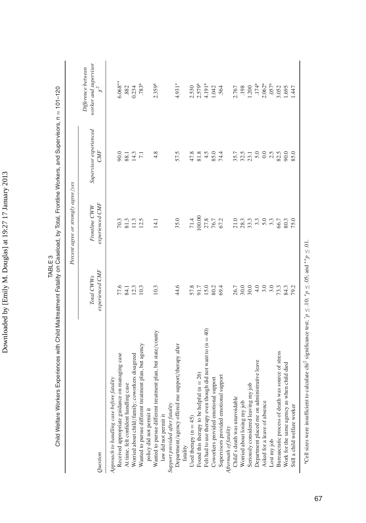| ֚֚֡֡֡֡֡֡֡        |
|------------------|
| ነ<br>i<br>I      |
| ۱                |
| ו<br>י<br>֚֕     |
| ¢                |
| ١<br>I           |
| l<br>i<br>١      |
| I                |
|                  |
|                  |
| ١<br>i<br>ļ<br>l |
|                  |
| ֕                |
|                  |
|                  |
|                  |
| ļ<br>I           |
|                  |

|                                                                                      |                               | Percent agree or strongly agree/yes                                               |                                                    |                                                         |
|--------------------------------------------------------------------------------------|-------------------------------|-----------------------------------------------------------------------------------|----------------------------------------------------|---------------------------------------------------------|
| Question                                                                             | experienced CMF<br>Total CWWs | experienced CMF<br>Frontline CWW                                                  | Supervisor experienced<br>CMF                      | worker and supervisor<br>Difference between<br>$x^2$    |
| Approach to handling case before fatality                                            |                               |                                                                                   |                                                    |                                                         |
| Received appropriate guidance on managing case                                       | 77.6                          |                                                                                   | 90.0                                               | $6.068***$                                              |
| At time, felt confident handling case                                                | 84.1                          |                                                                                   |                                                    | .882                                                    |
| Worried about child/family; coworkers disagreed                                      | 12.3                          | $70.3$<br>$81.3$<br>$12.5$                                                        | $\begin{array}{c} 88.1 \\ 14.3 \\ 7.1 \end{array}$ | 0.234                                                   |
| Wanted to pursue different treatment plan, but agency                                | 10.3                          |                                                                                   |                                                    | .783 <sup>a</sup>                                       |
| policy did not permit it                                                             |                               |                                                                                   |                                                    |                                                         |
| Wanted to pursue different treatment plan, but state/county<br>law did not permit it | 10.3                          | 14.1                                                                              | 4.8                                                | $2.359^{a}$                                             |
| Support provided after fatality                                                      |                               |                                                                                   |                                                    |                                                         |
| Department/agency offered me support/therapy after                                   | 44.6                          | 35.0                                                                              | 57.5                                               | 4.931*                                                  |
| fatality                                                                             |                               |                                                                                   |                                                    |                                                         |
| Used therapy $(n = 45)$                                                              | 57.8                          |                                                                                   | 47.8                                               |                                                         |
| Found this therapy to be helpful ( $n = 26$ )                                        | 91.7                          | $\frac{71.4}{100.00}$                                                             | 81.8                                               | $2.530$<br>$2.579$ <sup>a</sup><br>$4.191$ <sup>a</sup> |
| Felt had to use therapy even though did not want to $(n = 40)$                       | 15.0                          |                                                                                   | 4.5                                                |                                                         |
| Coworkers provided emotional support                                                 | 80.2                          | 27.8<br>76.7<br>67.2                                                              | 85.0                                               | 1.042                                                   |
| Supervisors provided emotional support                                               | 69.4                          |                                                                                   | 74.4                                               | .564                                                    |
| Aftermath of fatality                                                                |                               |                                                                                   |                                                    |                                                         |
| Child's death was unavoidable                                                        | 26.7                          |                                                                                   |                                                    | 2.767                                                   |
| Worried about losing my job                                                          | 30.0                          |                                                                                   | 35.7<br>32.5<br>23.1                               | .198                                                    |
| Seriously considered leaving my job                                                  | 30.0                          | $\begin{smallmatrix} 1.0 \\ 2.3 \\ 2.3 \\ 3.3 \\ 4.3 \\ 5.0 \\ \end{smallmatrix}$ |                                                    | 1.200                                                   |
| ative leave<br>Department placed me on administr                                     | 4.0                           |                                                                                   |                                                    |                                                         |
| Asked for a leave of absence                                                         | 3.0                           |                                                                                   |                                                    | $.174a$<br>2.062 <sup>a</sup>                           |
| Lost my job                                                                          | 3.0                           | $3.3\,$                                                                           | $5.0$<br>$0.0$<br>$2.5$                            | .057 <sup>a</sup>                                       |
| Bureaucratic process of death was source of stress                                   | 73.3                          | 66.7                                                                              | 82.5                                               | 3.052                                                   |
| Work for the same agency as when child died                                          | 84.3                          |                                                                                   | 90.0                                               | 1.695                                                   |
| Still a child welfare worker                                                         | 79.2                          | 80.3<br>75.0                                                                      | 85.0                                               | 1.47                                                    |

TABLE 3<br>Child Welfare Workers Experiences with Child Maltreatment Fatality on Caseload, by Total, Frontline Workers, and Supervisors, n = 101-120 Child Welfare Workers Experiences with Child Maltreatment Fatality on Caseload, by Total, Frontline Workers, and Supervisors, n = 101–120

<sup>a</sup>Cell sizes were insufficient to calculate chi<sup>2</sup> significance test;  $\gamma \ge 10$ ;  $\gamma_p \le 0.05$ ; and  $\gamma_p \le 0.01$ . <sup>a</sup>Cell sizes were insufficient to calculate chi<sup>2</sup> significance test;  $\gamma_p \leq .10$ ; \* $p \leq .05$ ; and \*\* $p \leq .01$ .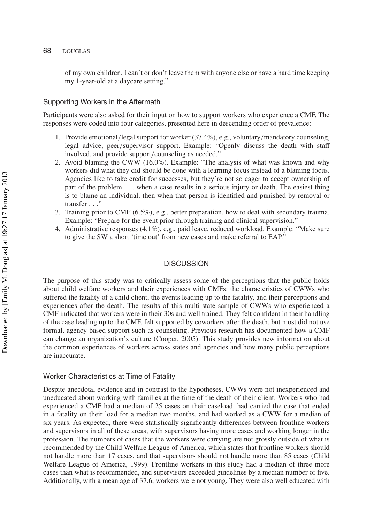of my own children. I can't or don't leave them with anyone else or have a hard time keeping my 1-year-old at a daycare setting."

#### Supporting Workers in the Aftermath

Participants were also asked for their input on how to support workers who experience a CMF. The responses were coded into four categories, presented here in descending order of prevalence:

- 1. Provide emotional/legal support for worker (37.4%), e.g., voluntary/mandatory counseling, legal advice, peer/supervisor support. Example: "Openly discuss the death with staff involved, and provide support/counseling as needed."
- 2. Avoid blaming the CWW (16.0%). Example: "The analysis of what was known and why workers did what they did should be done with a learning focus instead of a blaming focus. Agencies like to take credit for successes, but they're not so eager to accept ownership of part of the problem ... when a case results in a serious injury or death. The easiest thing is to blame an individual, then when that person is identified and punished by removal or transfer ..."
- 3. Training prior to CMF (6.5%), e.g., better preparation, how to deal with secondary trauma. Example: "Prepare for the event prior through training and clinical supervision."
- 4. Administrative responses (4.1%), e.g., paid leave, reduced workload. Example: "Make sure to give the SW a short 'time out' from new cases and make referral to EAP."

#### **DISCUSSION**

The purpose of this study was to critically assess some of the perceptions that the public holds about child welfare workers and their experiences with CMFs: the characteristics of CWWs who suffered the fatality of a child client, the events leading up to the fatality, and their perceptions and experiences after the death. The results of this multi-state sample of CWWs who experienced a CMF indicated that workers were in their 30s and well trained. They felt confident in their handling of the case leading up to the CMF, felt supported by coworkers after the death, but most did not use formal, agency-based support such as counseling. Previous research has documented how a CMF can change an organization's culture (Cooper, 2005). This study provides new information about the common experiences of workers across states and agencies and how many public perceptions are inaccurate.

#### Worker Characteristics at Time of Fatality

Despite anecdotal evidence and in contrast to the hypotheses, CWWs were not inexperienced and uneducated about working with families at the time of the death of their client. Workers who had experienced a CMF had a median of 25 cases on their caseload, had carried the case that ended in a fatality on their load for a median two months, and had worked as a CWW for a median of six years. As expected, there were statistically significantly differences between frontline workers and supervisors in all of these areas, with supervisors having more cases and working longer in the profession. The numbers of cases that the workers were carrying are not grossly outside of what is recommended by the Child Welfare League of America, which states that frontline workers should not handle more than 17 cases, and that supervisors should not handle more than 85 cases (Child Welfare League of America, 1999). Frontline workers in this study had a median of three more cases than what is recommended, and supervisors exceeded guidelines by a median number of five. Additionally, with a mean age of 37.6, workers were not young. They were also well educated with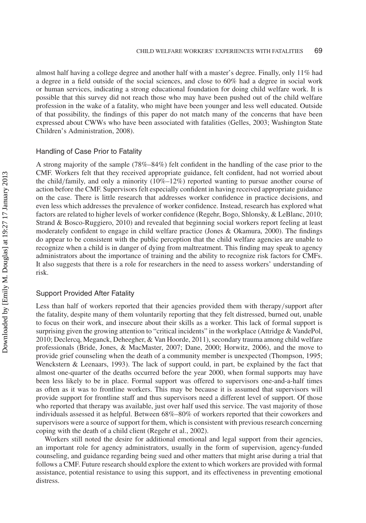almost half having a college degree and another half with a master's degree. Finally, only 11% had a degree in a field outside of the social sciences, and close to 60% had a degree in social work or human services, indicating a strong educational foundation for doing child welfare work. It is possible that this survey did not reach those who may have been pushed out of the child welfare profession in the wake of a fatality, who might have been younger and less well educated. Outside of that possibility, the findings of this paper do not match many of the concerns that have been expressed about CWWs who have been associated with fatalities (Gelles, 2003; Washington State Children's Administration, 2008).

#### Handling of Case Prior to Fatality

A strong majority of the sample (78%–84%) felt confident in the handling of the case prior to the CMF. Workers felt that they received appropriate guidance, felt confident, had not worried about the child/family, and only a minority (10%–12%) reported wanting to pursue another course of action before the CMF. Supervisors felt especially confident in having received appropriate guidance on the case. There is little research that addresses worker confidence in practice decisions, and even less which addresses the prevalence of worker confidence. Instead, research has explored what factors are related to higher levels of worker confidence (Regehr, Bogo, Shlonsky, & LeBlanc, 2010; Strand & Bosco-Ruggiero, 2010) and revealed that beginning social workers report feeling at least moderately confident to engage in child welfare practice (Jones & Okamura, 2000). The findings do appear to be consistent with the public perception that the child welfare agencies are unable to recognize when a child is in danger of dying from maltreatment. This finding may speak to agency administrators about the importance of training and the ability to recognize risk factors for CMFs. It also suggests that there is a role for researchers in the need to assess workers' understanding of risk.

#### Support Provided After Fatality

Less than half of workers reported that their agencies provided them with therapy/support after the fatality, despite many of them voluntarily reporting that they felt distressed, burned out, unable to focus on their work, and insecure about their skills as a worker. This lack of formal support is surprising given the growing attention to "critical incidents" in the workplace (Attridge & VandePol, 2010; Declercq, Meganck, Deheegher, & Van Hoorde, 2011), secondary trauma among child welfare professionals (Bride, Jones, & MacMaster, 2007; Dane, 2000; Horwitz, 2006), and the move to provide grief counseling when the death of a community member is unexpected (Thompson, 1995; Wenckstern & Leenaars, 1993). The lack of support could, in part, be explained by the fact that almost one-quarter of the deaths occurred before the year 2000, when formal supports may have been less likely to be in place. Formal support was offered to supervisors one-and-a-half times as often as it was to frontline workers. This may be because it is assumed that supervisors will provide support for frontline staff and thus supervisors need a different level of support. Of those who reported that therapy was available, just over half used this service. The vast majority of those individuals assessed it as helpful. Between 68%–80% of workers reported that their coworkers and supervisors were a source of support for them, which is consistent with previous research concerning coping with the death of a child client (Regehr et al., 2002).

Workers still noted the desire for additional emotional and legal support from their agencies, an important role for agency administrators, usually in the form of supervision, agency-funded counseling, and guidance regarding being sued and other matters that might arise during a trial that follows a CMF. Future research should explore the extent to which workers are provided with formal assistance, potential resistance to using this support, and its effectiveness in preventing emotional distress.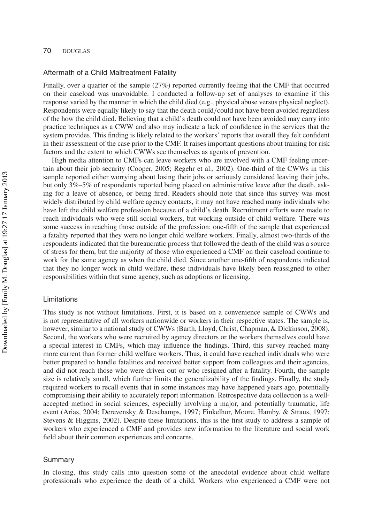#### Aftermath of a Child Maltreatment Fatality

Finally, over a quarter of the sample (27%) reported currently feeling that the CMF that occurred on their caseload was unavoidable. I conducted a follow-up set of analyses to examine if this response varied by the manner in which the child died (e.g., physical abuse versus physical neglect). Respondents were equally likely to say that the death could/could not have been avoided regardless of the how the child died. Believing that a child's death could not have been avoided may carry into practice techniques as a CWW and also may indicate a lack of confidence in the services that the system provides. This finding is likely related to the workers' reports that overall they felt confident in their assessment of the case prior to the CMF. It raises important questions about training for risk factors and the extent to which CWWs see themselves as agents of prevention.

High media attention to CMFs can leave workers who are involved with a CMF feeling uncertain about their job security (Cooper, 2005; Regehr et al., 2002). One-third of the CWWs in this sample reported either worrying about losing their jobs or seriously considered leaving their jobs, but only 3%–5% of respondents reported being placed on administrative leave after the death, asking for a leave of absence, or being fired. Readers should note that since this survey was most widely distributed by child welfare agency contacts, it may not have reached many individuals who have left the child welfare profession because of a child's death. Recruitment efforts were made to reach individuals who were still social workers, but working outside of child welfare. There was some success in reaching those outside of the profession: one-fifth of the sample that experienced a fatality reported that they were no longer child welfare workers. Finally, almost two-thirds of the respondents indicated that the bureaucratic process that followed the death of the child was a source of stress for them, but the majority of those who experienced a CMF on their caseload continue to work for the same agency as when the child died. Since another one-fifth of respondents indicated that they no longer work in child welfare, these individuals have likely been reassigned to other responsibilities within that same agency, such as adoptions or licensing.

#### Limitations

This study is not without limitations. First, it is based on a convenience sample of CWWs and is not representative of all workers nationwide or workers in their respective states. The sample is, however, similar to a national study of CWWs (Barth, Lloyd, Christ, Chapman, & Dickinson, 2008). Second, the workers who were recruited by agency directors or the workers themselves could have a special interest in CMFs, which may influence the findings. Third, this survey reached many more current than former child welfare workers. Thus, it could have reached individuals who were better prepared to handle fatalities and received better support from colleagues and their agencies, and did not reach those who were driven out or who resigned after a fatality. Fourth, the sample size is relatively small, which further limits the generalizability of the findings. Finally, the study required workers to recall events that in some instances may have happened years ago, potentially compromising their ability to accurately report information. Retrospective data collection is a wellaccepted method in social sciences, especially involving a major, and potentially traumatic, life event (Arias, 2004; Derevensky & Deschamps, 1997; Finkelhor, Moore, Hamby, & Straus, 1997; Stevens & Higgins, 2002). Despite these limitations, this is the first study to address a sample of workers who experienced a CMF and provides new information to the literature and social work field about their common experiences and concerns.

#### Summary

In closing, this study calls into question some of the anecdotal evidence about child welfare professionals who experience the death of a child. Workers who experienced a CMF were not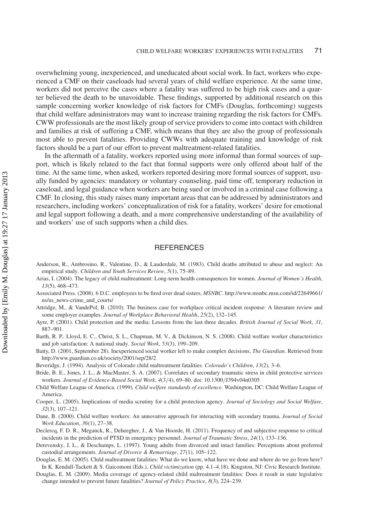overwhelming young, inexperienced, and uneducated about social work. In fact, workers who experienced a CMF on their caseloads had several years of child welfare experience. At the same time, workers did not perceive the cases where a fatality was suffered to be high risk cases and a quarter believed the death to be unavoidable. These findings, supported by additional research on this sample concerning worker knowledge of risk factors for CMFs (Douglas, forthcoming) suggests that child welfare administrators may want to increase training regarding the risk factors for CMFs. CWW professionals are the most likely group of service providers to come into contact with children and families at risk of suffering a CMF, which means that they are also the group of professionals most able to prevent fatalities. Providing CWWs with adequate training and knowledge of risk factors should be a part of our effort to prevent maltreatment-related fatalities.

In the aftermath of a fatality, workers reported using more informal than formal sources of support, which is likely related to the fact that formal supports were only offered about half of the time. At the same time, when asked, workers reported desiring more formal sources of support, usually funded by agencies: mandatory or voluntary counseling, paid time off, temporary reduction in caseload, and legal guidance when workers are being sued or involved in a criminal case following a CMF. In closing, this study raises many important areas that can be addressed by administrators and researchers, including workers' conceptualization of risk for a fatality, workers' desire for emotional and legal support following a death, and a more comprehensive understanding of the availability of and workers' use of such supports when a child dies.

#### **REFERENCES**

- Anderson, R., Ambrosino, R., Valentine, D., & Lauderdale, M. (1983). Child deaths attributed to abuse and neglect: An empirical study. *Children and Youth Services Review*, *5*(1), 75–89.
- Arias, I. (2004). The legacy of child maltreatment: Long-term health consequences for women. *Journal of Women's Health*, *13*(5), 468–473.
- Associated Press. (2008). 6 D.C. employees to be fired over dead sisters, *MSNBC*. http://www.msnbc.msn.com/id/22649661/ ns/us\_news-crime\_and\_courts/
- Attridge, M., & VandePol, B. (2010). The business case for workplace critical incident response: A literature review and some employer examples. *Journal of Workplace Behavioral Health*, *25*(2), 132–145.
- Ayre, P. (2001). Child protection and the media: Lessons from the last three decades. *British Journal of Social Work*, *31*, 887–901.
- Barth, R. P., Lloyd, E. C., Christ, S. L., Chapman, M. V., & Dickinson, N. S. (2008). Child welfare worker characteristics and job satisfaction: A national study. *Social Work*, *53*(3), 199–209.
- Batty, D. (2001, September 28). Inexperienced social worker left to make complex decisions, *The Guardian*. Retrieved from http://www.guardian.co.uk/society/2001/sep/28/2
- Beveridge, J. (1994). Analysis of Colorado child maltreatment fatalities. *Colorado's Children*, *13*(2), 3–6.
- Bride, B. E., Jones, J. L., & MacMaster, S. A. (2007). Correlates of secondary traumatic stress in child protective services workers. *Journal of Evidence-Based Social Work*, *4*(3/4), 69–80. doi: 10.1300/J394v04n0305
- Child Welfare League of America. (1999). *Child welfare standards of excellence*. Washington, DC: Child Welfare League of America.
- Cooper, L. (2005). Implications of media scrutiny for a child protection agency. *Journal of Sociology and Social Welfare*, *32*(3), 107–121.
- Dane, B. (2000). Child welfare workers: An annovative approach for interacting with secondary trauma. *Journal of Social Work Education*, *36*(1), 27–38.
- Declercq, F. D. R., Meganck, R., Deheegher, J., & Van Hoorde, H. (2011). Frequency of and subjective response to critical incidents in the prediction of PTSD in emergency personnel. *Journal of Traumatic Stress*, *24*(1), 133–136.
- Derevensky, J. L., & Deschamps, L. (1997). Young adults from divorced and intact families: Perceptions about preferred custodial arrangements. *Journal of Divorce & Remarriage*, *27*(1), 105–122.
- Douglas, E. M. (2005). Child maltreatment fatalities: What do we know, what have we done and where do we go from here? In K. Kendall-Tackett & S. Gaicomoni (Eds.), *Child victimization* (pp. 4.1–4.18). Kingston, NJ: Civic Research Institute.
- Douglas, E. M. (2009). Media coverage of agency-related child maltreatment fatalities: Does it result in state legislative change intended to prevent future fatalities? *Journal of Policy Practice*, *8*(3), 224–239.